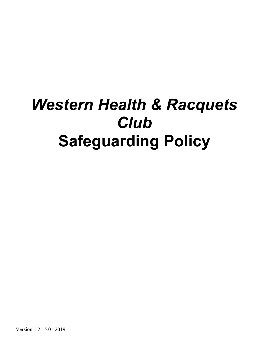# *Western Health & Racquets Club* **Safeguarding Policy**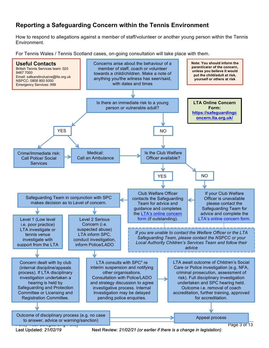## **Reporting a Safeguarding Concern within the Tennis Environment**

How to respond to allegations against a member of staff/volunteer or another young person within the Tennis Environment.

For Tennis Wales / Tennis Scotland cases, on-going consultation will take place with them.



Last Updated: *21/02/19* Next Review: *21/02/21 (or earlier if there is a change in legislation)*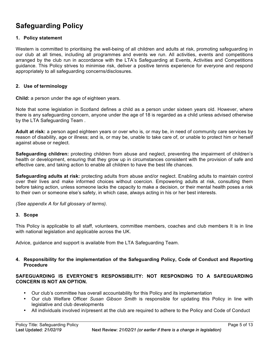# **Safeguarding Policy**

#### **1. Policy statement**

Western is committed to prioritising the well-being of all children and adults at risk, promoting safeguarding in our club at all times, including all programmes and events we run. All activities, events and competitions arranged by the club run in accordance with the LTA's Safeguarding at Events, Activities and Competitions guidance. This Policy strives to minimise risk, deliver a positive tennis experience for everyone and respond appropriately to all safeguarding concerns/disclosures.

#### **2. Use of terminology**

**Child:** a person under the age of eighteen years.

Note that some legislation in Scotland defines a child as a person under sixteen years old. However, where there is any safeguarding concern, anyone under the age of 18 is regarded as a child unless advised otherwise by the LTA Safeguarding Team .

**Adult at risk:** a person aged eighteen years or over who is, or may be, in need of community care services by reason of disability, age or illness; and is, or may be, unable to take care of, or unable to protect him or herself against abuse or neglect.

**Safeguarding children:** protecting children from abuse and neglect, preventing the impairment of children's health or development, ensuring that they grow up in circumstances consistent with the provision of safe and effective care, and taking action to enable all children to have the best life chances.

**Safeguarding adults at risk:** protecting adults from abuse and/or neglect. Enabling adults to maintain control over their lives and make informed choices without coercion. Empowering adults at risk, consulting them before taking action, unless someone lacks the capacity to make a decision, or their mental health poses a risk to their own or someone else's safety, in which case, always acting in his or her best interests.

*(See appendix A for full glossary of terms)*.

#### **3. Scope**

This Policy is applicable to all staff, volunteers, committee members, coaches and club members It is in line with national legislation and applicable across the UK.

Advice, guidance and support is available from the LTA Safeguarding Team.

#### **4. Responsibility for the implementation of the Safeguarding Policy, Code of Conduct and Reporting Procedure**

#### **SAFEGUARDING IS EVERYONE'S RESPONSIBILITY: NOT RESPONDING TO A SAFEGUARDING CONCERN IS NOT AN OPTION.**

- Our club's committee has overall accountability for this Policy and its implementation
- Our club Welfare Officer *Susan Gibson Smith* is responsible for updating this Policy in line with legislative and club developments
- All individuals involved in/present at the club are required to adhere to the Policy and Code of Conduct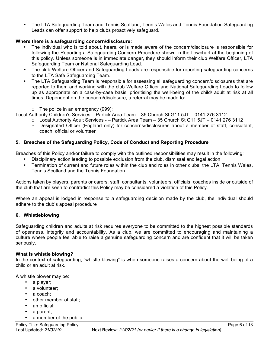• The LTA Safeguarding Team and Tennis Scotland, Tennis Wales and Tennis Foundation Safeguarding Leads can offer support to help clubs proactively safeguard.

#### **Where there is a safeguarding concern/disclosure:**

- The individual who is told about, hears, or is made aware of the concern/disclosure is responsible for following the Reporting a Safeguarding Concern Procedure shown in the flowchart at the beginning of this policy. Unless someone is in immediate danger, they should inform their club Welfare Officer, LTA Safeguarding Team or National Safeguarding Lead.
- The club Welfare Officer and Safeguarding Leads are responsible for reporting safeguarding concerns to the LTA Safe Safeguarding Team.
- The LTA Safeguarding Team is responsible for assessing all safeguarding concern/disclosures that are reported to them and working with the club Welfare Officer and National Safeguarding Leads to follow up as appropriate on a case-by-case basis, prioritising the well-being of the child/ adult at risk at all times. Dependent on the concern/disclosure, a referral may be made to:
	- $\circ$  The police in an emergency (999);
- Local Authority Children's Services Partick Area Team 35 Church St G11 5JT 0141 276 3112
	- o Local Authority Adult Services *-* Partick Area Team 35 Church St G11 5JT 0141 276 3112
		- o Designated Officer (England only) for concerns/disclosures about a member of staff, consultant, coach, official or volunteer

#### **5. Breaches of the Safeguarding Policy, Code of Conduct and Reporting Procedure**

Breaches of this Policy and/or failure to comply with the outlined responsibilities may result in the following:

- Disciplinary action leading to possible exclusion from the club, dismissal and legal action
- Termination of current and future roles within the club and roles in other clubs, the LTA, Tennis Wales, Tennis Scotland and the Tennis Foundation*.*

Actions taken by players, parents or carers, staff, consultants, volunteers, officials, coaches inside or outside of the club that are seen to contradict this Policy may be considered a violation of this Policy.

Where an appeal is lodged in response to a safeguarding decision made by the club, the individual should adhere to the club's appeal procedure

#### **6. Whistleblowing**

Safeguarding children and adults at risk requires everyone to be committed to the highest possible standards of openness, integrity and accountability. As a club, we are committed to encouraging and maintaining a culture where people feel able to raise a genuine safeguarding concern and are confident that it will be taken seriously.

#### **What is whistle blowing?**

In the context of safeguarding, "whistle blowing" is when someone raises a concern about the well-being of a child or an adult at risk.

A whistle blower may be:

- a player;
- a volunteer;
- a coach:
- other member of staff;
- an official:
- a parent;
- a member of the public.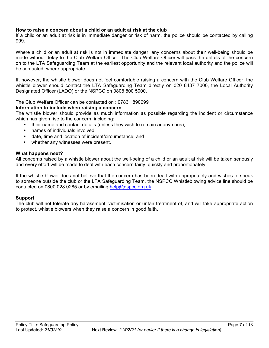#### **How to raise a concern about a child or an adult at risk at the club**

If a child or an adult at risk is in immediate danger or risk of harm, the police should be contacted by calling 999.

Where a child or an adult at risk is not in immediate danger, any concerns about their well-being should be made without delay to the Club Welfare Officer. The Club Welfare Officer will pass the details of the concern on to the LTA Safeguarding Team at the earliest opportunity and the relevant local authority and the police will be contacted, where appropriate.

If, however, the whistle blower does not feel comfortable raising a concern with the Club Welfare Officer, the whistle blower should contact the LTA Safeguarding Team directly on 020 8487 7000, the Local Authority Designated Officer (LADO) or the NSPCC on 0808 800 5000.

#### The Club Welfare Officer can be contacted on : 07831 890699

#### **Information to include when raising a concern**

The whistle blower should provide as much information as possible regarding the incident or circumstance which has given rise to the concern, including:

- their name and contact details (unless they wish to remain anonymous);
- names of individuals involved;
- date, time and location of incident/circumstance; and
- whether any witnesses were present.

#### **What happens next?**

All concerns raised by a whistle blower about the well-being of a child or an adult at risk will be taken seriously and every effort will be made to deal with each concern fairly, quickly and proportionately.

If the whistle blower does not believe that the concern has been dealt with appropriately and wishes to speak to someone outside the club or the LTA Safeguarding Team, the NSPCC Whistleblowing advice line should be contacted on 0800 028 0285 or by emailing help@nspcc.org.uk.

#### **Support**

The club will not tolerate any harassment, victimisation or unfair treatment of, and will take appropriate action to protect, whistle blowers when they raise a concern in good faith.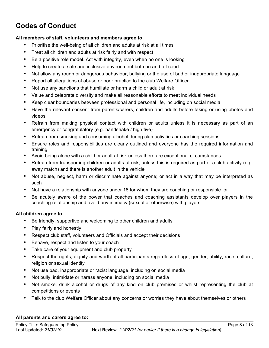# **Codes of Conduct**

#### **All members of staff, volunteers and members agree to:**

- Prioritise the well-being of all children and adults at risk at all times
- Treat all children and adults at risk fairly and with respect
- Be a positive role model. Act with integrity, even when no one is looking
- Help to create a safe and inclusive environment both on and off court
- Not allow any rough or dangerous behaviour, bullying or the use of bad or inappropriate language
- Report all allegations of abuse or poor practice to the club Welfare Officer
- Not use any sanctions that humiliate or harm a child or adult at risk
- Value and celebrate diversity and make all reasonable efforts to meet individual needs
- Keep clear boundaries between professional and personal life, including on social media
- Have the relevant consent from parents/carers, children and adults before taking or using photos and videos
- Refrain from making physical contact with children or adults unless it is necessary as part of an emergency or congratulatory (e.g. handshake / high five)
- Refrain from smoking and consuming alcohol during club activities or coaching sessions
- Ensure roles and responsibilities are clearly outlined and everyone has the required information and training
- Avoid being alone with a child or adult at risk unless there are exceptional circumstances
- Refrain from transporting children or adults at risk, unless this is required as part of a club activity (e.g. away match) and there is another adult in the vehicle
- Not abuse, neglect, harm or discriminate against anyone; or act in a way that may be interpreted as such
- Not have a relationship with anyone under 18 for whom they are coaching or responsible for
- Be acutely aware of the power that coaches and coaching assistants develop over players in the coaching relationship and avoid any intimacy (sexual or otherwise) with players

#### **All children agree to:**

- Be friendly, supportive and welcoming to other children and adults
- Play fairly and honestly
- Respect club staff, volunteers and Officials and accept their decisions
- Behave, respect and listen to your coach
- Take care of your equipment and club property
- Respect the rights, dignity and worth of all participants regardless of age, gender, ability, race, culture, religion or sexual identity
- Not use bad, inappropriate or racist language, including on social media
- Not bully, intimidate or harass anyone, including on social media
- Not smoke, drink alcohol or drugs of any kind on club premises or whilst representing the club at competitions or events
- Talk to the club Welfare Officer about any concerns or worries they have about themselves or others

#### **All parents and carers agree to:**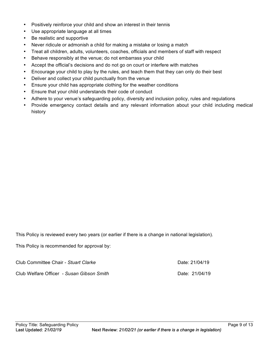- Positively reinforce your child and show an interest in their tennis
- Use appropriate language at all times
- Be realistic and supportive
- Never ridicule or admonish a child for making a mistake or losing a match
- Treat all children, adults, volunteers, coaches, officials and members of staff with respect
- Behave responsibly at the venue; do not embarrass your child
- Accept the official's decisions and do not go on court or interfere with matches
- Encourage your child to play by the rules, and teach them that they can only do their best
- Deliver and collect your child punctually from the venue
- Ensure your child has appropriate clothing for the weather conditions
- Ensure that your child understands their code of conduct
- Adhere to your venue's safeguarding policy, diversity and inclusion policy, rules and regulations
- Provide emergency contact details and any relevant information about your child including medical history

This Policy is reviewed every two years (or earlier if there is a change in national legislation).

This Policy is recommended for approval by:

Club Committee Chair - *Stuart Clarke* Date: 21/04/19 Club Welfare Officer *- Susan Gibson Smith* Date: 21/04/19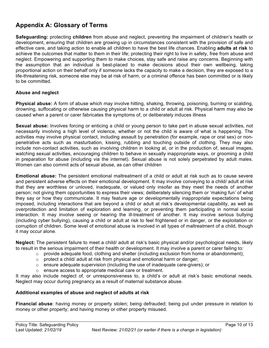# **Appendix A: Glossary of Terms**

**Safeguarding:** protecting **children** from abuse and neglect, preventing the impairment of children's health or development, ensuring that children are growing up in circumstances consistent with the provision of safe and effective care, and taking action to enable all children to have the best life chances. Enabling **adults at risk** to achieve the outcomes that matter to them in their life; protecting their right to live in safety, free from abuse and neglect. Empowering and supporting them to make choices, stay safe and raise any concerns. Beginning with the assumption that an individual is best-placed to make decisions about their own wellbeing, taking proportional action on their behalf only if someone lacks the capacity to make a decision, they are exposed to a life-threatening risk, someone else may be at risk of harm, or a criminal offence has been committed or is likely to be committed.

#### **Abuse and neglect**

**Physical abuse:** A form of abuse which may involve hitting, shaking, throwing, poisoning, burning or scalding, drowning, suffocating or otherwise causing physical harm to a child or adult at risk. Physical harm may also be caused when a parent or carer fabricates the symptoms of, or deliberately induces illness

**Sexual abuse:** Involves forcing or enticing a child or young person to take part in abuse sexual activities, not necessarily involving a high level of violence, whether or not the child is aware of what is happening. The activities may involve physical contact, including assault by penetration (for example, rape or oral sex) or nonpenetrative acts such as masturbation, kissing, rubbing and touching outside of clothing. They may also include non-contact activities, such as involving children in looking at, or in the production of, sexual images, watching sexual activities, encouraging children to behave in sexually inappropriate ways, or grooming a child in preparation for abuse (including via the internet). Sexual abuse is not solely perpetrated by adult males. Women can also commit acts of sexual abuse, as can other children

**Emotional abuse:** The persistent emotional maltreatment of a child or adult at risk such as to cause severe and persistent adverse effects on their emotional development. It may involve conveying to a child/ adult at risk that they are worthless or unloved, inadequate, or valued only insofar as they meet the needs of another person; not giving them opportunities to express their views; deliberately silencing them or 'making fun' of what they say or how they communicate. It may feature age or developmentally inappropriate expectations being imposed, including interactions that are beyond a child or adult at risk's developmental capability, as well as overprotection and limitation of exploration and learning, or preventing them participating in normal social interaction. It may involve seeing or hearing the ill-treatment of another. It may involve serious bullying (including cyber bullying), causing a child or adult at risk to feel frightened or in danger, or the exploitation or corruption of children. Some level of emotional abuse is involved in all types of maltreatment of a child, though it may occur alone.

**Neglect:** The persistent failure to meet a child/ adult at risk's basic physical and/or psychological needs, likely to result in the serious impairment of their health or development. It may involve a parent or carer failing to:

- $\circ$  provide adequate food, clothing and shelter (including exclusion from home or abandonment);
- o protect a child/ adult at risk from physical and emotional harm or danger;
- $\circ$  ensure adequate supervision (including the use of inadequate care-givers); or
- o ensure access to appropriate medical care or treatment.

It may also include neglect of, or unresponsiveness to, a child's or adult at risk's basic emotional needs. Neglect may occur during pregnancy as a result of maternal substance abuse.

#### **Additional examples of abuse and neglect of adults at risk**

**Financial abuse**: having money or property stolen; being defrauded; being put under pressure in relation to money or other property; and having money or other property misused.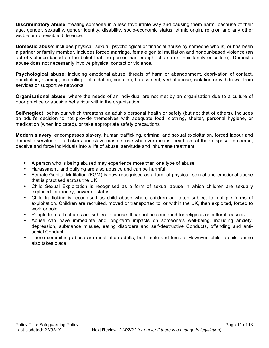**Discriminatory abuse**: treating someone in a less favourable way and causing them harm, because of their age, gender, sexuality, gender identity, disability, socio-economic status, ethnic origin, religion and any other visible or non-visible difference.

**Domestic abuse**: includes physical, sexual, psychological or financial abuse by someone who is, or has been a partner or family member. Includes forced marriage, female genital mutilation and honour-based violence (an act of violence based on the belief that the person has brought shame on their family or culture). Domestic abuse does not necessarily involve physical contact or violence.

**Psychological abuse:** including emotional abuse, threats of harm or abandonment, deprivation of contact, humiliation, blaming, controlling, intimidation, coercion, harassment, verbal abuse, isolation or withdrawal from services or supportive networks.

**Organisational abuse**: where the needs of an individual are not met by an organisation due to a culture of poor practice or abusive behaviour within the organisation.

**Self-neglect:** behaviour which threatens an adult's personal health or safety (but not that of others). Includes an adult's decision to not provide themselves with adequate food, clothing, shelter, personal hygiene, or medication (when indicated), or take appropriate safety precautions

**Modern slavery**: encompasses slavery, human trafficking, criminal and sexual exploitation, forced labour and domestic servitude. Traffickers and slave masters use whatever means they have at their disposal to coerce, deceive and force individuals into a life of abuse, servitude and inhumane treatment.

- A person who is being abused may experience more than one type of abuse
- Harassment, and bullying are also abusive and can be harmful
- Female Genital Mutilation (FGM) is now recognised as a form of physical, sexual and emotional abuse that is practised across the UK
- Child Sexual Exploitation is recognised as a form of sexual abuse in which children are sexually exploited for money, power or status
- Child trafficking is recognised as child abuse where children are often subject to multiple forms of exploitation. Children are recruited, moved or transported to, or within the UK, then exploited, forced to work or sold
- People from all cultures are subject to abuse. It cannot be condoned for religious or cultural reasons
- Abuse can have immediate and long-term impacts on someone's well-being, including anxiety, depression, substance misuse, eating disorders and self-destructive Conducts, offending and antisocial Conduct
- Those committing abuse are most often adults, both male and female. However, child-to-child abuse also takes place.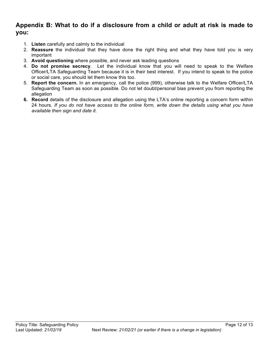### **Appendix B: What to do if a disclosure from a child or adult at risk is made to you:**

- 1. **Listen** carefully and calmly to the individual
- 2. **Reassure** the individual that they have done the right thing and what they have told you is very important
- 3. **Avoid questioning** where possible, and never ask leading questions
- 4. **Do not promise secrecy**. Let the individual know that you will need to speak to the Welfare Officer/LTA Safeguarding Team because it is in their best interest. If you intend to speak to the police or social care, you should let them know this too.
- 5. **Report the concern.** In an emergency, call the police (999), otherwise talk to the Welfare Officer/LTA Safeguarding Team as soon as possible. Do not let doubt/personal bias prevent you from reporting the allegation
- **6. Record** details of the disclosure and allegation using the LTA's online reporting a concern form within 24 hours*. If you do not have access to the online form, write down the details using what you have available then sign and date it.*